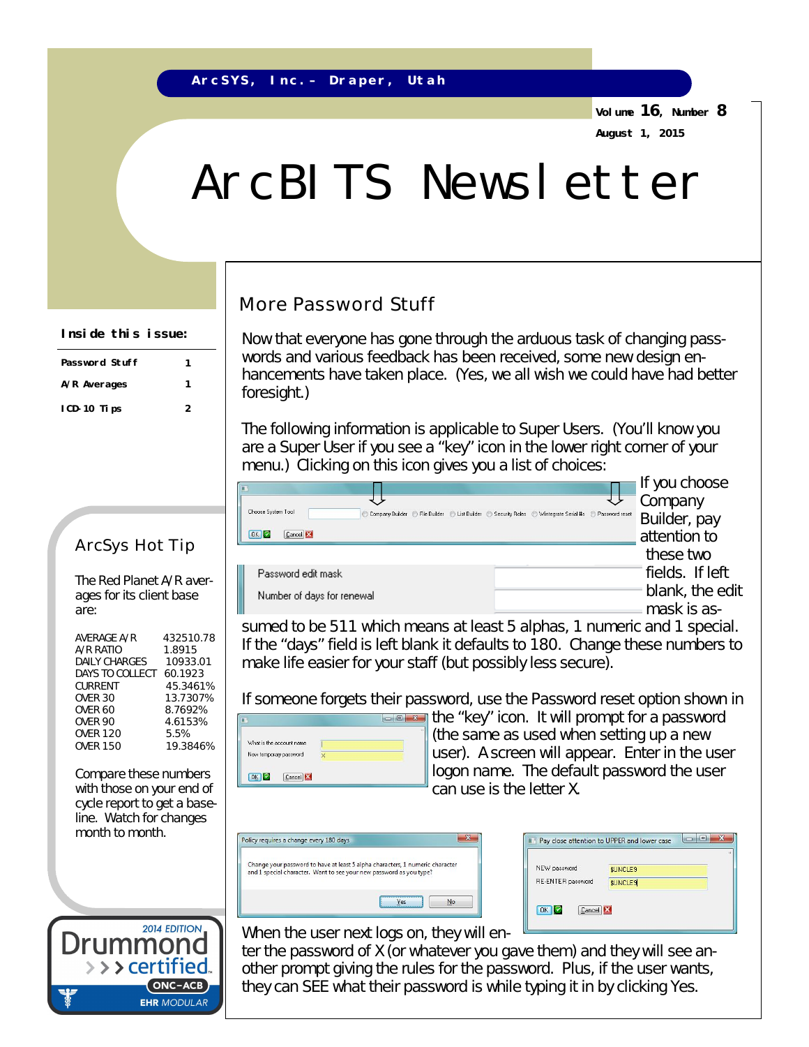**Volume 16, Number 8 August 1, 2015**

# ArcBITS Newsletter

## More Password Stuff

Now that everyone has gone through the arduous task of changing passwords and various feedback has been received, some new design enhancements have taken place. (Yes, we all wish we could have had better foresight.)

The following information is applicable to Super Users. (You'll know you are a Super User if you see a "key" icon in the lower right corner of your menu.) Clicking on this icon gives you a list of choices:

|                                                                                                                                             | If you choose   |
|---------------------------------------------------------------------------------------------------------------------------------------------|-----------------|
|                                                                                                                                             | Company         |
| Choose System Tool<br>Company Builder ( C) File Builder ( C) List Builder ( C) Security Roles ( C) Wintegrate Serial #s ( C) Password reset | Builder, pay    |
| $OK$ $Q$<br>Cancel <b>13</b>                                                                                                                | attention to    |
|                                                                                                                                             | these two       |
| Password edit mask                                                                                                                          | fields. If left |
| Number of days for renewal                                                                                                                  | blank, the edit |
|                                                                                                                                             | mask is as-     |

sumed to be 511 which means at least 5 alphas, 1 numeric and 1 special. If the "days" field is left blank it defaults to 180. Change these numbers to make life easier for your staff (but possibly less secure).

If someone forgets their password, use the *Password reset* option shown in

| New temporary password |  |
|------------------------|--|

the "key" icon. It will prompt for a password (the same as used when setting up a new user). A screen will appear. Enter in the user logon name. The default password the user can use is the letter X.

| Change your password to have at least 5 alpha characters, 1 numeric character |
|-------------------------------------------------------------------------------|
| and 1 special character. Want to see your new password as you type?           |
|                                                                               |
|                                                                               |
|                                                                               |

| NEW password      | \$UNCLE9       |  |
|-------------------|----------------|--|
| RE-ENTER password | <b>SUNCLES</b> |  |
|                   |                |  |

When the user next logs on, they will en-

ter the password of X (or whatever you gave them) and they will see another prompt giving the rules for the password. Plus, if the user wants, they can SEE what their password is while typing it in by clicking Yes.

#### **Inside this issue:**

| <b>Password Stuff</b> |   |
|-----------------------|---|
| A/R Averages          |   |
| ICD-10 Tips           | 2 |

### ArcSys Hot Tip

The Red Planet A/R averages for its client base are:

| 432510.78 |
|-----------|
| 1.8915    |
| 10933.01  |
| 60.1923   |
| 45.3461%  |
| 13.7307%  |
| 8.7692%   |
| 4.6153%   |
| 5.5%      |
| 19.3846%  |
|           |

Compare these numbers with those on your end of cycle report to get a baseline. Watch for changes month to month.